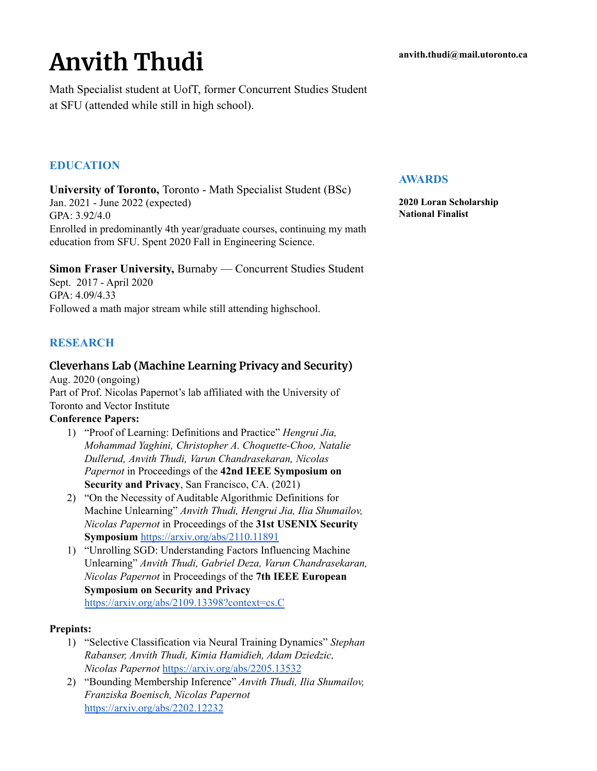# **Anvith Thudi**

Math Specialist student at UofT, former Concurrent Studies Student at SFU (attended while still in high school).

## **EDUCATION**

**University of Toronto,** Toronto - Math Specialist Student (BSc) Jan. 2021 - June 2022 (expected) GPA: 3.92/4.0 Enrolled in predominantly 4th year/graduate courses, continuing my math education from SFU. Spent 2020 Fall in Engineering Science.

**Simon Fraser University,** Burnaby — Concurrent Studies Student Sept. 2017 - April 2020 GPA: 4.09/4.33 Followed a math major stream while still attending highschool.

## **RESEARCH**

## **Cleverhans Lab (Machine Learning Privacy and Security)**

Aug. 2020 (ongoing) Part of Prof. Nicolas Papernot's lab affiliated with the University of Toronto and Vector Institute

#### **Conference Papers:**

- 1) "Proof of Learning: Definitions and Practice" *[Hengrui](https://arxiv.org/search/cs?searchtype=author&query=Jia%2C+H) Jia, [Mohammad](https://arxiv.org/search/cs?searchtype=author&query=Yaghini%2C+M) Yaghini, Christopher A. [Choquette-Choo](https://arxiv.org/search/cs?searchtype=author&query=Choquette-Choo%2C+C+A), [Natalie](https://arxiv.org/search/cs?searchtype=author&query=Dullerud%2C+N) [Dullerud](https://arxiv.org/search/cs?searchtype=author&query=Dullerud%2C+N), [Anvith](https://arxiv.org/search/cs?searchtype=author&query=Thudi%2C+A) Thudi, Varun [Chandrasekaran](https://arxiv.org/search/cs?searchtype=author&query=Chandrasekaran%2C+V), [Nicolas](https://arxiv.org/search/cs?searchtype=author&query=Papernot%2C+N) [Papernot](https://arxiv.org/search/cs?searchtype=author&query=Papernot%2C+N)* in Proceedings of the **42nd IEEE Symposium on Security and Privacy**, San Francisco, CA. (2021)
- 2) "On the Necessity of Auditable Algorithmic Definitions for Machine Unlearning" *Anvith Thudi, Hengrui Jia, Ilia Shumailov, Nicolas Papernot* in Proceedings of the **31st USENIX Security Symposium** <https://arxiv.org/abs/2110.11891>
- 1) "Unrolling SGD: Understanding Factors Influencing Machine Unlearning" *[Anvith](https://arxiv.org/search/cs?searchtype=author&query=Thudi%2C+A) Thudi, [Gabriel](https://arxiv.org/search/cs?searchtype=author&query=Deza%2C+G) Deza, Varun [Chandrasekaran](https://arxiv.org/search/cs?searchtype=author&query=Chandrasekaran%2C+V), Nicolas [Papernot](https://arxiv.org/search/cs?searchtype=author&query=Papernot%2C+N)* in Proceedings of the **7th IEEE European Symposium on Security and Privacy** [https://arxiv.org/abs/2109.13398?context=cs.C](https://arxiv.org/abs/2109.13398?context=cs.CR)

### **Prepints:**

- 1) "Selective Classification via Neural Training Dynamics" *Stephan Rabanser, Anvith Thudi, Kimia Hamidieh, Adam Dziedzic, Nicolas Papernot* <https://arxiv.org/abs/2205.13532>
- 2) "Bounding Membership Inference" *Anvith Thudi, Ilia Shumailov, Franziska Boenisch, Nicolas Papernot* <https://arxiv.org/abs/2202.12232>

#### **AWARDS**

**2020 Loran Scholarship National Finalist**